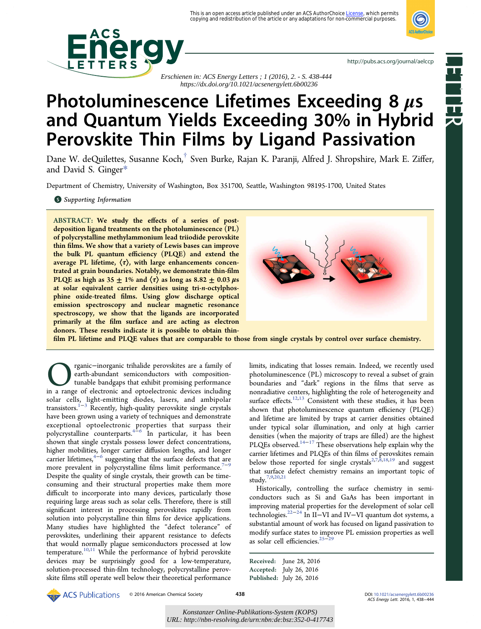

**Reduction** 



<http://pubs.acs.org/journal/aelccp>

 *Erschienen in: ACS Energy Letters ; 1 (2016), 2. - S. 438-444 https://dx.doi.org/10.1021/acsenergylett.6b00236*

# Photoluminescence Lifetimes Exceeding 8  $\mu$ s and Quantum Yields Exceeding 30% in Hybrid Perovskite Thin Films by Ligand Passivation

Dane W. deQuilettes, Susanne Koch,[†](#page-4-0) Sven Burke, Rajan K. Paranji, Alfred J. Shropshire, Mark E. Ziffer, and David S. Ginger[\\*](#page-4-0)

Department of Chemistry, University of Washington, Box 351700, Seattle, Washington 98195-1700, United States

**S** [Supporting Information](#page-4-0)

ABSTRACT: We study the effects of a series of postdeposition ligand treatments on the photoluminescence (PL) of polycrystalline methylammonium lead triiodide perovskite thin films. We show that a variety of Lewis bases can improve the bulk PL quantum efficiency (PLQE) and extend the average PL lifetime,  $\langle \tau \rangle$ , with large enhancements concentrated at grain boundaries. Notably, we demonstrate thin-film PLQE as high as  $35 \pm 1\%$  and  $\langle \tau \rangle$  as long as  $8.82 \pm 0.03 \,\mu s$ at solar equivalent carrier densities using tri-n-octylphosphine oxide-treated films. Using glow discharge optical emission spectroscopy and nuclear magnetic resonance spectroscopy, we show that the ligands are incorporated primarily at the film surface and are acting as electron donors. These results indicate it is possible to obtain thin-



film PL lifetime and PLQE values that are comparable to those from single crystals by control over surface chemistry.

Organic−inorganic trihalide perovskites are a family of earth-abundant semiconductors with composition-tunable bandgaps that exhibit promising performance in a range of electronic and optoelectronic devices including earth-abundant semiconductors with compositiontunable bandgaps that exhibit promising performance solar cells, light-emitting diodes, lasers, and ambipolar transistors.[1](#page-5-0)−[3](#page-5-0) Recently, high-quality perovskite single crystals have been grown using a variety of techniques and demonstrate exceptional optoelectronic properties that surpass their polycrystalline counterparts.[4](#page-5-0)−[6](#page-5-0) In particular, it has been shown that single crystals possess lower defect concentrations, higher mobilities, longer carrier diffusion lengths, and longer carrier lifetimes, $4-6$  $4-6$  $4-6$  suggesting that the surface defects that are more prevalent in polycrystalline films limit performance.<sup>[7](#page-5-0)−[9](#page-5-0)</sup> Despite the quality of single crystals, their growth can be timeconsuming and their structural properties make them more difficult to incorporate into many devices, particularly those requiring large areas such as solar cells. Therefore, there is still significant interest in processing perovskites rapidly from solution into polycrystalline thin films for device applications. Many studies have highlighted the "defect tolerance" of perovskites, underlining their apparent resistance to defects that would normally plague semiconductors processed at low temperature.<sup>[10](#page-5-0),[11](#page-5-0)</sup> While the performance of hybrid perovskite devices may be surprisingly good for a low-temperature, solution-processed thin-film technology, polycrystalline perovskite films still operate well below their theoretical performance

limits, indicating that losses remain. Indeed, we recently used photoluminescence (PL) microscopy to reveal a subset of grain boundaries and "dark" regions in the films that serve as nonradiative centers, highlighting the role of heterogeneity and surface effects.<sup>[12](#page-5-0),[13](#page-5-0)</sup> Consistent with these studies, it has been shown that photoluminescence quantum efficiency (PLQE) and lifetime are limited by traps at carrier densities obtained under typical solar illumination, and only at high carrier densities (when the majority of traps are filled) are the highest PLQEs observed.<sup>[14](#page-5-0)−[17](#page-5-0)</sup> These observations help explain why the carrier lifetimes and PLQEs of thin films of perovskites remain below those reported for single crystals<sup>2,7, $\hat{8}$ ,18,[19](#page-5-0) and suggest</sup> that surface defect chemistry remains an important topic of study.[7](#page-5-0),[9](#page-5-0),[20,21](#page-5-0)

Historically, controlling the surface chemistry in semiconductors such as Si and GaAs has been important in improving material properties for the development of solar cell technologies.[22](#page-5-0)−[24](#page-5-0) In II−VI and IV−VI quantum dot systems, a substantial amount of work has focused on ligand passivation to modify surface states to improve PL emission properties as well as solar cell efficiencies.<sup>[25](#page-5-0)−[29](#page-5-0)</sup>

Received: June 28, 2016 Accepted: July 26, 2016 Published: July 26, 2016

© 2016 American Chemical Society **438 ACS Energy Lett.2016**, 1, 438–444<br>ACS Energy Lett. 2016, 1, 438–444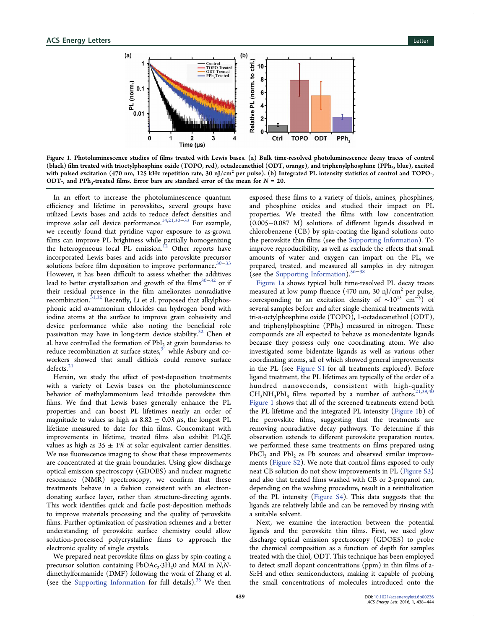

Figure 1. Photoluminescence studies of films treated with Lewis bases. (a) Bulk time-resolved photoluminescence decay traces of control (black) film treated with trioctylphosphine oxide (TOPO, red), octadecanethiol (ODT, orange), and triphenylphosphine (PPh<sub>3</sub>, blue), excited with pulsed excitation (470 nm, 125 kHz repetition rate, 30  $\text{nJ/cm}^2$  per pulse). (b) Integrated PL intensity statistics of control and TOPO-, ODT-, and PPh<sub>3</sub>-treated films. Error bars are standard error of the mean for  $N = 20$ .

In an effort to increase the photoluminescence quantum efficiency and lifetime in perovskites, several groups have utilized Lewis bases and acids to reduce defect densities and improve solar cell device performance.[14](#page-5-0),[21,30](#page-5-0)−[33](#page-5-0) For example, we recently found that pyridine vapor exposure to as-grown films can improve PL brightness while partially homogenizing the heterogeneous local PL emission.<sup>[12](#page-5-0)</sup> Other reports have incorporated Lewis bases and acids into perovskite precursor solutions before film deposition to improve performance.<sup>[30](#page-5-0)–[33](#page-5-0)</sup> However, it has been difficult to assess whether the additives lead to better crystallization and growth of the films<sup>[30](#page-5-0)−[32](#page-5-0)</sup> or if their residual presence in the film ameliorates nonradiative recombination.<sup>[31](#page-5-0),[32](#page-5-0)</sup> Recently, Li et al. proposed that alkylphosphonic acid  $\omega$ -ammonium chlorides can hydrogen bond with iodine atoms at the surface to improve grain cohesivity and device performance while also noting the beneficial role passivation may have in long-term device stability.<sup>[32](#page-5-0)</sup> Chen et al. have controlled the formation of  $PbI<sub>2</sub>$  at grain boundaries to reduce recombination at surface states, $34$  while Asbury and coworkers showed that small dithiols could remove surface defects.<sup>[21](#page-5-0)</sup>

Herein, we study the effect of post-deposition treatments with a variety of Lewis bases on the photoluminescence behavior of methylammonium lead triiodide perovskite thin films. We find that Lewis bases generally enhance the PL properties and can boost PL lifetimes nearly an order of magnitude to values as high as  $8.82 \pm 0.03 \,\mu s$ , the longest PL lifetime measured to date for thin films. Concomitant with improvements in lifetime, treated films also exhibit PLQE values as high as  $35 \pm 1\%$  at solar equivalent carrier densities. We use fluorescence imaging to show that these improvements are concentrated at the grain boundaries. Using glow discharge optical emission spectroscopy (GDOES) and nuclear magnetic resonance (NMR) spectroscopy, we confirm that these treatments behave in a fashion consistent with an electrondonating surface layer, rather than structure-directing agents. This work identifies quick and facile post-deposition methods to improve materials processing and the quality of perovskite films. Further optimization of passivation schemes and a better understanding of perovskite surface chemistry could allow solution-processed polycrystalline films to approach the electronic quality of single crystals.

We prepared neat perovskite films on glass by spin-coating a precursor solution containing  $PbOAc_2·3H_20$  and MAI in N,Ndimethylformamide (DMF) following the work of Zhang et al. (see the [Supporting Information](http://pubs.acs.org/doi/suppl/10.1021/acsenergylett.6b00236/suppl_file/nz6b00236_si_001.pdf) for full details). $35$  We then

exposed these films to a variety of thiols, amines, phosphines, and phosphine oxides and studied their impact on PL properties. We treated the films with low concentration (0.005−0.087 M) solutions of different ligands dissolved in chlorobenzene (CB) by spin-coating the ligand solutions onto the perovskite thin films (see the [Supporting Information](http://pubs.acs.org/doi/suppl/10.1021/acsenergylett.6b00236/suppl_file/nz6b00236_si_001.pdf)). To improve reproducibility, as well as exclude the effects that small amounts of water and oxygen can impart on the PL, we prepared, treated, and measured all samples in dry nitrogen (see the [Supporting Information\)](http://pubs.acs.org/doi/suppl/10.1021/acsenergylett.6b00236/suppl_file/nz6b00236_si_001.pdf).<sup>[36](#page-6-0)</sup>

Figure 1a shows typical bulk time-resolved PL decay traces measured at low pump fluence (470 nm, 30 nJ/cm<sup>2</sup> per pulse, corresponding to an excitation density of  $\sim 10^{15}$  cm<sup>-3</sup>) of several samples before and after single chemical treatments with tri-n-octylphosphine oxide (TOPO), 1-octadecanethiol (ODT), and triphenylphosphine  $(PPh_3)$  measured in nitrogen. These compounds are all expected to behave as monodentate ligands because they possess only one coordinating atom. We also investigated some bidentate ligands as well as various other coordinating atoms, all of which showed general improvements in the PL (see [Figure S1](http://pubs.acs.org/doi/suppl/10.1021/acsenergylett.6b00236/suppl_file/nz6b00236_si_001.pdf) for all treatments explored). Before ligand treatment, the PL lifetimes are typically of the order of a hundred nanoseconds, consistent with high-quality  $CH<sub>3</sub>NH<sub>3</sub>PbI<sub>3</sub>$  films reported by a number of authors.<sup>[21](#page-5-0),[39,40](#page-6-0)</sup> Figure 1 shows that all of the screened treatments extend both the PL lifetime and the integrated PL intensity (Figure 1b) of the perovskite films, suggesting that the treatments are removing nonradiative decay pathways. To determine if this observation extends to different perovskite preparation routes, we performed these same treatments on films prepared using  $PbCl<sub>2</sub>$  and  $PbI<sub>2</sub>$  as Pb sources and observed similar improvements [\(Figure S2\)](http://pubs.acs.org/doi/suppl/10.1021/acsenergylett.6b00236/suppl_file/nz6b00236_si_001.pdf). We note that control films exposed to only neat CB solution do not show improvements in PL [\(Figure S3\)](http://pubs.acs.org/doi/suppl/10.1021/acsenergylett.6b00236/suppl_file/nz6b00236_si_001.pdf) and also that treated films washed with CB or 2-propanol can, depending on the washing procedure, result in a reinitialization of the PL intensity [\(Figure S4](http://pubs.acs.org/doi/suppl/10.1021/acsenergylett.6b00236/suppl_file/nz6b00236_si_001.pdf)). This data suggests that the ligands are relatively labile and can be removed by rinsing with a suitable solvent.

Next, we examine the interaction between the potential ligands and the perovskite thin films. First, we used glow discharge optical emission spectroscopy (GDOES) to probe the chemical composition as a function of depth for samples treated with the thiol, ODT. This technique has been employed to detect small dopant concentrations (ppm) in thin films of a-Si:H and other semiconductors, making it capable of probing the small concentrations of molecules introduced onto the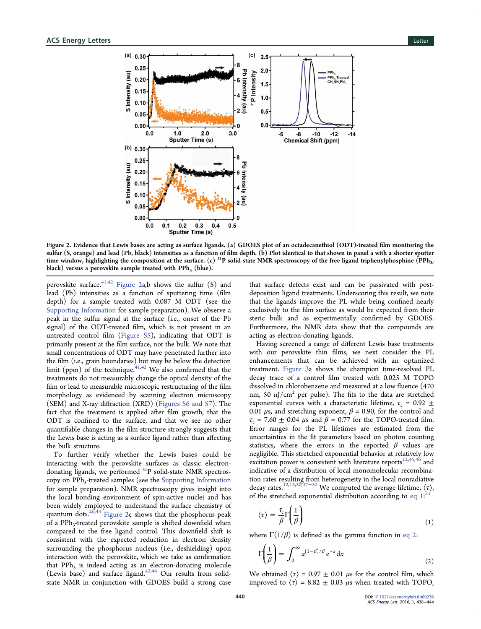

Figure 2. Evidence that Lewis bases are acting as surface ligands. (a) GDOES plot of an octadecanethiol (ODT)-treated film monitoring the sulfur (S, orange) and lead (Pb, black) intensities as a function of film depth. (b) Plot identical to that shown in panel a with a shorter sputter time window, highlighting the composition at the surface. (c)  $^{31}P$  solid-state NMR spectroscopy of the free ligand triphenylphosphine (PPh<sub>3</sub>, black) versus a perovskite sample treated with PPh<sub>3</sub> (blue).

perovskite surface.<sup>[41,42](#page-6-0)</sup> Figure 2a,b shows the sulfur  $(S)$  and lead (Pb) intensities as a function of sputtering time (film depth) for a sample treated with 0.087 M ODT (see the [Supporting Information](http://pubs.acs.org/doi/suppl/10.1021/acsenergylett.6b00236/suppl_file/nz6b00236_si_001.pdf) for sample preparation). We observe a peak in the sulfur signal at the surface (i.e., onset of the Pb signal) of the ODT-treated film, which is not present in an untreated control film [\(Figure S5](http://pubs.acs.org/doi/suppl/10.1021/acsenergylett.6b00236/suppl_file/nz6b00236_si_001.pdf)), indicating that ODT is primarily present at the film surface, not the bulk. We note that small concentrations of ODT may have penetrated further into the film (i.e., grain boundaries) but may be below the detection limit (ppm) of the technique.<sup>[41](#page-6-0),[42](#page-6-0)</sup> We also confirmed that the treatments do not measurably change the optical density of the film or lead to measurable microscopic restructuring of the film morphology as evidenced by scanning electron microscopy (SEM) and X-ray diffraction (XRD) [\(Figures S6 and S7](http://pubs.acs.org/doi/suppl/10.1021/acsenergylett.6b00236/suppl_file/nz6b00236_si_001.pdf)). The fact that the treatment is applied after film growth, that the ODT is confined to the surface, and that we see no other quantifiable changes in the film structure strongly suggests that the Lewis base is acting as a surface ligand rather than affecting the bulk structure.

To further verify whether the Lewis bases could be interacting with the perovskite surfaces as classic electrondonating ligands, we performed <sup>31</sup>P solid-state NMR spectros-copy on PPh<sub>3</sub>-treated samples (see the [Supporting Information](http://pubs.acs.org/doi/suppl/10.1021/acsenergylett.6b00236/suppl_file/nz6b00236_si_001.pdf) for sample preparation). NMR spectroscopy gives insight into the local bonding environment of spin-active nuclei and has been widely employed to understand the surface chemistry of quantum dots. $26,43$  $26,43$  Figure 2c shows that the phosphorus peak of a PPh<sub>3</sub>-treated perovskite sample is shifted downfield when compared to the free ligand control. This downfield shift is consistent with the expected reduction in electron density surrounding the phosphorus nucleus (i.e., deshielding) upon interaction with the perovskite, which we take as confirmation that  $PPh<sub>3</sub>$  is indeed acting as an electron-donating molecule (Lewis base) and surface ligand. $43,44$  Our results from solidstate NMR in conjunction with GDOES build a strong case

that surface defects exist and can be passivated with postdeposition ligand treatments. Underscoring this result, we note that the ligands improve the PL while being confined nearly exclusively to the film surface as would be expected from their steric bulk and as experimentally confirmed by GDOES. Furthermore, the NMR data show that the compounds are acting as electron-donating ligands.

Having screened a range of different Lewis base treatments with our perovskite thin films, we next consider the PL enhancements that can be achieved with an optimized treatment. [Figure 3a](#page-3-0) shows the champion time-resolved PL decay trace of a control film treated with 0.025 M TOPO dissolved in chlorobenzene and measured at a low fluence (470 nm, 50  $\mathrm{nJ/cm^{2}}$  per pulse). The fits to the data are stretched exponential curves with a characteristic lifetime,  $\tau_c = 0.92 \pm$ 0.01  $\mu$ s, and stretching exponent,  $\beta$  = 0.90, for the control and  $\tau_c$  = 7.60  $\pm$  0.04  $\mu$ s and  $\beta$  = 0.77 for the TOPO-treated film. Error ranges for the PL lifetimes are estimated from the uncertainties in the fit parameters based on photon counting statistics, where the errors in the reported  $\beta$  values are negligible. This stretched exponential behavior at relatively low excitation power is consistent with literature reports $12,45,46$  $12,45,46$  $12,45,46$  $12,45,46$  and indicative of a distribution of local monomolecular recombination rates resulting from heterogeneity in the local nonradiative decay rates.<sup>[12](#page-5-0),[13,20](#page-5-0),[47](#page-6-0)–[50](#page-6-0)</sup> We computed the average lifetime,  $\langle \tau \rangle$ , of the stretched exponential distribution according to eq 1.<sup>[51](#page-6-0)</sup>

$$
\langle \tau \rangle = \frac{\tau_c}{\beta} \Gamma \left( \frac{1}{\beta} \right) \tag{1}
$$

where  $\Gamma(1/\beta)$  is defined as the gamma function in eq 2:

$$
\Gamma\left(\frac{1}{\beta}\right) = \int_0^\infty x^{(1-\beta)/\beta} e^{-x} dx
$$
 (2)

We obtained  $\langle \tau \rangle = 0.97 \pm 0.01$  *μs* for the control film, which improved to  $\langle \tau \rangle$  = 8.82  $\pm$  0.03  $\mu$ s when treated with TOPO,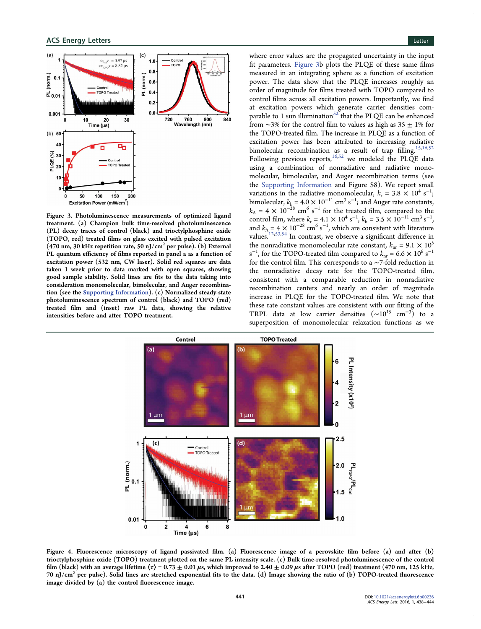<span id="page-3-0"></span>

Figure 3. Photoluminescence measurements of optimized ligand treatment. (a) Champion bulk time-resolved photoluminescence (PL) decay traces of control (black) and trioctylphosphine oxide (TOPO, red) treated films on glass excited with pulsed excitation (470 nm, 30 kHz repetition rate, 50 nJ/cm<sup>2</sup> per pulse). (b) External PL quantum efficiency of films reported in panel a as a function of excitation power (532 nm, CW laser). Solid red squares are data taken 1 week prior to data marked with open squares, showing good sample stability. Solid lines are fits to the data taking into consideration monomolecular, bimolecular, and Auger recombination (see the [Supporting Information](http://pubs.acs.org/doi/suppl/10.1021/acsenergylett.6b00236/suppl_file/nz6b00236_si_001.pdf)). (c) Normalized steady-state photoluminescence spectrum of control (black) and TOPO (red) treated film and (inset) raw PL data, showing the relative intensities before and after TOPO treatment.

where error values are the propagated uncertainty in the input fit parameters. Figure 3b plots the PLQE of these same films measured in an integrating sphere as a function of excitation power. The data show that the PLQE increases roughly an order of magnitude for films treated with TOPO compared to control films across all excitation powers. Importantly, we find at excitation powers which generate carrier densities comparable to 1 sun illumination $52$  that the PLQE can be enhanced from  $\sim$ 3% for the control film to values as high as 35  $\pm$  1% for the TOPO-treated film. The increase in PLQE as a function of excitation power has been attributed to increasing radiative bimolecular recombination as a result of trap filling.<sup>15,[16](#page-5-0)[,52](#page-6-0)</sup> Following previous reports, $16,52$  $16,52$  we modeled the PLQE data using a combination of nonradiative and radiative monomolecular, bimolecular, and Auger recombination terms (see the [Supporting Information](http://pubs.acs.org/doi/suppl/10.1021/acsenergylett.6b00236/suppl_file/nz6b00236_si_001.pdf) and Figure S8). We report small variations in the radiative monomolecular,  $k_r = 3.8 \times 10^4 \text{ s}^{-1}$ ; bimolecular,  $k_{\rm b} = 4.0 \times 10^{-11} \text{ cm}^3 \text{ s}^{-1}$ ; and Auger rate constants,  $k_A = 4 \times 10^{-28}$  cm<sup>6</sup> s<sup>-1</sup> for the treated film, compared to the control film, where  $k_r = 4.1 \times 10^4 \text{ s}^{-1}$ ,  $k_b = 3.5 \times 10^{-11} \text{ cm}^3 \text{ s}^{-1}$ , and  $k_{A} = 4 \times 10^{-28}$  cm<sup>6</sup> s<sup>-1</sup>, which are consistent with literature values.[12](#page-5-0),[53,54](#page-6-0) In contrast, we observe a significant difference in the nonradiative monomolecular rate constant,  $k_{nr} = 9.1 \times 10^5$ s<sup>-1</sup>, for the TOPO-treated film compared to  $k_{\text{nr}} = 6.6 \times 10^6 \text{ s}^{-1}$ for the control film. This corresponds to a ∼7-fold reduction in the nonradiative decay rate for the TOPO-treated film, consistent with a comparable reduction in nonradiative recombination centers and nearly an order of magnitude increase in PLQE for the TOPO-treated film. We note that these rate constant values are consistent with our fitting of the TRPL data at low carrier densities  $({\sim}10^{15} \text{ cm}^{-3})$  to a superposition of monomolecular relaxation functions as we



Figure 4. Fluorescence microscopy of ligand passivated film. (a) Fluorescence image of a perovskite film before (a) and after (b) trioctylphosphine oxide (TOPO) treatment plotted on the same PL intensity scale. (c) Bulk time-resolved photoluminescence of the control film (black) with an average lifetime  $\langle \tau \rangle$  = 0.73  $\pm$  0.01  $\mu$ s, which improved to 2.40  $\pm$  0.09  $\mu$ s after TOPO (red) treatment (470 nm, 125 kHz, 70 nJ/cm<sup>2</sup> per pulse). Solid lines are stretched exponential fits to the data. (d) Image showing the ratio of (b) TOPO-treated fluorescence image divided by (a) the control fluorescence image.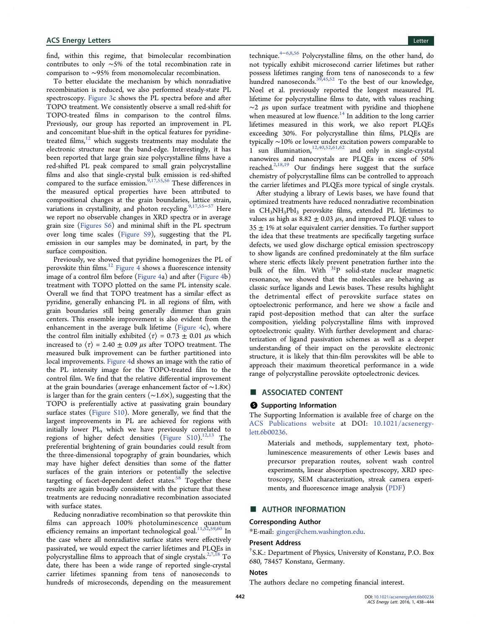<span id="page-4-0"></span>find, within this regime, that bimolecular recombination contributes to only ∼5% of the total recombination rate in comparison to ∼95% from monomolecular recombination.

To better elucidate the mechanism by which nonradiative recombination is reduced, we also performed steady-state PL spectroscopy. [Figure 3c](#page-3-0) shows the PL spectra before and after TOPO treatment. We consistently observe a small red-shift for TOPO-treated films in comparison to the control films. Previously, our group has reported an improvement in PL and concomitant blue-shift in the optical features for pyridinetreated films, $12$  which suggests treatments may modulate the electronic structure near the band-edge. Interestingly, it has been reported that large grain size polycrystalline films have a red-shifted PL peak compared to small grain polycrystalline films and also that single-crystal bulk emission is red-shifted compared to the surface emission.<sup>[9,17](#page-5-0),[55,56](#page-6-0)</sup> These differences in the measured optical properties have been attributed to compositional changes at the grain boundaries, lattice strain, variations in crystallinity, and photon recycling.<sup>[9,17](#page-5-0),[55](#page-6-0)–[57](#page-6-0)</sup> Here we report no observable changes in XRD spectra or in average grain size [\(Figures S6](http://pubs.acs.org/doi/suppl/10.1021/acsenergylett.6b00236/suppl_file/nz6b00236_si_001.pdf)) and minimal shift in the PL spectrum over long time scales [\(Figure S9](http://pubs.acs.org/doi/suppl/10.1021/acsenergylett.6b00236/suppl_file/nz6b00236_si_001.pdf)), suggesting that the PL emission in our samples may be dominated, in part, by the surface composition.

Previously, we showed that pyridine homogenizes the PL of perovskite thin films. $^{12}$  $^{12}$  $^{12}$  [Figure 4](#page-3-0) shows a fluorescence intensity image of a control film before ([Figure 4](#page-3-0)a) and after [\(Figure 4b](#page-3-0)) treatment with TOPO plotted on the same PL intensity scale. Overall we find that TOPO treatment has a similar effect as pyridine, generally enhancing PL in all regions of film, with grain boundaries still being generally dimmer than grain centers. This ensemble improvement is also evident from the enhancement in the average bulk lifetime ([Figure 4c](#page-3-0)), where the control film initially exhibited  $\langle \tau \rangle = 0.73 \pm 0.01 \mu s$  which increased to  $\langle \tau \rangle$  = 2.40  $\pm$  0.09  $\mu$ s after TOPO treatment. The measured bulk improvement can be further partitioned into local improvements. [Figure 4](#page-3-0)d shows an image with the ratio of the PL intensity image for the TOPO-treated film to the control film. We find that the relative differential improvement at the grain boundaries (average enhancement factor of ∼1.8×) is larger than for the grain centers (∼1.6×), suggesting that the TOPO is preferentially active at passivating grain boundary surface states ([Figure S10\)](http://pubs.acs.org/doi/suppl/10.1021/acsenergylett.6b00236/suppl_file/nz6b00236_si_001.pdf). More generally, we find that the largest improvements in PL are achieved for regions with initially lower PL, which we have previously correlated to regions of higher defect densities ([Figure S10\)](http://pubs.acs.org/doi/suppl/10.1021/acsenergylett.6b00236/suppl_file/nz6b00236_si_001.pdf).<sup>[12,13](#page-5-0)</sup> The preferential brightening of grain boundaries could result from the three-dimensional topography of grain boundaries, which may have higher defect densities than some of the flatter surfaces of the grain interiors or potentially the selective targeting of facet-dependent defect states.<sup>[58](#page-6-0)</sup> Together these results are again broadly consistent with the picture that these treatments are reducing nonradiative recombination associated with surface states.

Reducing nonradiative recombination so that perovskite thin films can approach 100% photoluminescence quantum efficiency remains an important technological goal.<sup>[11](#page-5-0),[52,59](#page-6-0),[60](#page-6-0)</sup> In the case where all nonradiative surface states were effectively passivated, we would expect the carrier lifetimes and PLQEs in polycrystalline films to approach that of single crystals.<sup>[2,7,18](#page-5-0)</sup> To date, there has been a wide range of reported single-crystal carrier lifetimes spanning from tens of nanoseconds to hundreds of microseconds, depending on the measurement

technique.[4](#page-5-0)−[6,8,](#page-5-0)[56](#page-6-0) Polycrystalline films, on the other hand, do not typically exhibit microsecond carrier lifetimes but rather possess lifetimes ranging from tens of nanoseconds to a few hundred nanoseconds.<sup>[39,45](#page-6-0),[52](#page-6-0)</sup> To the best of our knowledge, Noel et al. previously reported the longest measured PL lifetime for polycrystalline films to date, with values reaching ∼2 μs upon surface treatment with pyridine and thiophene when measured at low fluence.<sup>[14](#page-5-0)</sup> In addition to the long carrier lifetimes measured in this work, we also report PLQEs exceeding 30%. For polycrystalline thin films, PLQEs are typically ∼10% or lower under excitation powers comparable to  $\int_{1}^{1}$  sun illumination,  $\int_{1}^{12,40,52,61,62}$  $\int_{1}^{12,40,52,61,62}$  $\int_{1}^{12,40,52,61,62}$  $\int_{1}^{12,40,52,61,62}$  and only in single-crystal nanowires and nanocrystals are PLQEs in excess of 50% reached.[2](#page-5-0),[18,19](#page-5-0) Our findings here suggest that the surface chemistry of polycrystalline films can be controlled to approach the carrier lifetimes and PLQEs more typical of single crystals.

After studying a library of Lewis bases, we have found that optimized treatments have reduced nonradiative recombination in CH<sub>3</sub>NH<sub>3</sub>PbI<sub>3</sub> perovskite films, extended PL lifetimes to values as high as  $8.82 \pm 0.03 \mu s$ , and improved PLQE values to  $35 \pm 1\%$  at solar equivalent carrier densities. To further support the idea that these treatments are specifically targeting surface defects, we used glow discharge optical emission spectroscopy to show ligands are confined predominately at the film surface where steric effects likely prevent penetration further into the bulk of the film. With  $31P$  solid-state nuclear magnetic resonance, we showed that the molecules are behaving as classic surface ligands and Lewis bases. These results highlight the detrimental effect of perovskite surface states on optoelectronic performance, and here we show a facile and rapid post-deposition method that can alter the surface composition, yielding polycrystalline films with improved optoelectronic quality. With further development and characterization of ligand passivation schemes as well as a deeper understanding of their impact on the perovskite electronic structure, it is likely that thin-film perovskites will be able to approach their maximum theoretical performance in a wide range of polycrystalline perovskite optoelectronic devices.

## ■ ASSOCIATED CONTENT

# **6** Supporting Information

The Supporting Information is available free of charge on the [ACS Publications website](http://pubs.acs.org) at DOI: [10.1021/acsenergy](http://pubs.acs.org/doi/abs/10.1021/acsenergylett.6b00236)[lett.6b00236.](http://pubs.acs.org/doi/abs/10.1021/acsenergylett.6b00236)

> Materials and methods, supplementary text, photoluminescence measurements of other Lewis bases and precursor preparation routes, solvent wash control experiments, linear absorption spectroscopy, XRD spectroscopy, SEM characterization, streak camera experiments, and fluorescence image analysis [\(PDF](http://pubs.acs.org/doi/suppl/10.1021/acsenergylett.6b00236/suppl_file/nz6b00236_si_001.pdf))

# ■ AUTHOR INFORMATION

#### Corresponding Author

\*E-mail: [ginger@chem.washington.edu.](mailto:ginger@chem.washington.edu)

### Present Address

† S.K.: Department of Physics, University of Konstanz, P.O. Box 680, 78457 Konstanz, Germany.

#### Notes

The authors declare no competing financial interest.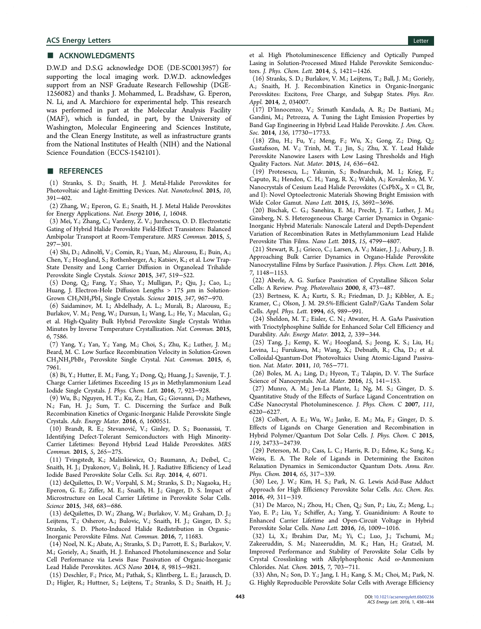# <span id="page-5-0"></span>■ ACKNOWLEDGMENTS

D.W.D and D.S.G acknowledge DOE (DE-SC0013957) for supporting the local imaging work. D.W.D. acknowledges support from an NSF Graduate Research Fellowship (DGE-1256082) and thanks J. Mohammed, L. Bradshaw, G. Eperon, N. Li, and A. Marchioro for experimental help. This research was performed in part at the Molecular Analysis Facility (MAF), which is funded, in part, by the University of Washington, Molecular Engineering and Sciences Institute, and the Clean Energy Institute, as well as infrastructure grants from the National Institutes of Health (NIH) and the National Science Foundation (ECCS-1542101).

## ■ REFERENCES

(1) Stranks, S. D.; Snaith, H. J. Metal-Halide Perovskites for Photovoltaic and Light-Emitting Devices. Nat. Nanotechnol. 2015, 10, 391−402.

(2) Zhang, W.; Eperon, G. E.; Snaith, H. J. Metal Halide Perovskites for Energy Applications. Nat. Energy 2016, 1, 16048.

(3) Mei, Y.; Zhang, C.; Vardeny, Z. V.; Jurchescu, O. D. Electrostatic Gating of Hybrid Halide Perovskite Field-Effect Transistors: Balanced Ambipolar Transport at Room-Temperature. MRS Commun. 2015, 5, 297−301.

(4) Shi, D.; Adinolfi, V.; Comin, R.; Yuan, M.; Alarousu, E.; Buin, A.; Chen, Y.; Hoogland, S.; Rothenberger, A.; Katsiev, K.; et al. Low Trap-State Density and Long Carrier Diffusion in Organolead Trihalide Perovskite Single Crystals. Science 2015, 347, 519−522.

(5) Dong, Q.; Fang, Y.; Shao, Y.; Mulligan, P.; Qiu, J.; Cao, L.; Huang, J. Electron-Hole Diffusion Lengths > 175  $\mu$ m in Solution-Grown CH3NH3PbI3 Single Crystals. Science 2015, 347, 967−970.

(6) Saidaminov, M. I.; Abdelhady, A. L.; Murali, B.; Alarousu, E.; Burlakov, V. M.; Peng, W.; Dursun, I.; Wang, L.; He, Y.; Maculan, G.; et al. High-Quality Bulk Hybrid Perovskite Single Crystals Within Minutes by Inverse Temperature Crystallization. Nat. Commun. 2015, 6, 7586.

(7) Yang, Y.; Yan, Y.; Yang, M.; Choi, S.; Zhu, K.; Luther, J. M.; Beard, M. C. Low Surface Recombination Velocity in Solution-Grown CH3NH3PbBr3 Perovskite Single Crystal. Nat. Commun. 2015, 6, 7961.

(8) Bi, Y.; Hutter, E. M.; Fang, Y.; Dong, Q.; Huang, J.; Savenije, T. J. Charge Carrier Lifetimes Exceeding 15  $\mu$ s in Methylammonium Lead Iodide Single Crystals. J. Phys. Chem. Lett. 2016, 7, 923−928.

(9) Wu, B.; Nguyen, H. T.; Ku, Z.; Han, G.; Giovanni, D.; Mathews, N.; Fan, H. J.; Sum, T. C. Discerning the Surface and Bulk Recombination Kinetics of Organic-Inorganic Halide Perovskite Single Crystals. Adv. Energy Mater. 2016, 6, 1600551.

(10) Brandt, R. E.; Stevanovic, V.; Ginley, D. S.; Buonassisi, T. ́ Identifying Defect-Tolerant Semiconductors with High Minority-Carrier Lifetimes: Beyond Hybrid Lead Halide Perovskites. MRS Commun. 2015, 5, 265−275.

(11) Tvingstedt, K.; Malinkiewicz, O.; Baumann, A.; Deibel, C.; Snaith, H. J.; Dyakonov, V.; Bolink, H. J. Radiative Efficiency of Lead Iodide Based Perovskite Solar Cells. Sci. Rep. 2014, 4, 6071.

(12) deQuilettes, D. W.; Vorpahl, S. M.; Stranks, S. D.; Nagaoka, H.; Eperon, G. E.; Ziffer, M. E.; Snaith, H. J.; Ginger, D. S. Impact of Microstructure on Local Carrier Lifetime in Perovskite Solar Cells. Science 2015, 348, 683−686.

(13) deQuilettes, D. W.; Zhang, W.; Burlakov, V. M.; Graham, D. J.; Leijtens, T.; Osherov, A.; Bulovic, V.; Snaith, H. J.; Ginger, D. S.; Stranks, S. D. Photo-Induced Halide Redistribution in Organic-Inorganic Perovskite Films. Nat. Commun. 2016, 7, 11683.

(14) Noel, N. K.; Abate, A.; Stranks, S. D.; Parrott, E. S.; Burlakov, V. M.; Goriely, A.; Snaith, H. J. Enhanced Photoluminescence and Solar Cell Performance via Lewis Base Passivation of Organic-Inorganic Lead Halide Perovskites. ACS Nano 2014, 8, 9815−9821.

(15) Deschler, F.; Price, M.; Pathak, S.; Klintberg, L. E.; Jarausch, D. D.; Higler, R.; Huttner, S.; Leijtens, T.; Stranks, S. D.; Snaith, H. J.;

et al. High Photoluminescence Efficiency and Optically Pumped Lasing in Solution-Processed Mixed Halide Perovskite Semiconductors. J. Phys. Chem. Lett. 2014, 5, 1421−1426.

(16) Stranks, S. D.; Burlakov, V. M.; Leijtens, T.; Ball, J. M.; Goriely, A.; Snaith, H. J. Recombination Kinetics in Organic-Inorganic Perovskites: Excitons, Free Charge, and Subgap States. Phys. Rev. Appl. 2014, 2, 034007.

(17) D'Innocenzo, V.; Srimath Kandada, A. R.; De Bastiani, M.; Gandini, M.; Petrozza, A. Tuning the Light Emission Properties by Band Gap Engineering in Hybrid Lead Halide Perovskite. J. Am. Chem. Soc. 2014, 136, 17730−17733.

(18) Zhu, H.; Fu, Y.; Meng, F.; Wu, X.; Gong, Z.; Ding, Q.; Gustafsson, M. V.; Trinh, M. T.; Jin, S.; Zhu, X. Y. Lead Halide Perovskite Nanowire Lasers with Low Lasing Thresholds and High Quality Factors. Nat. Mater. 2015, 14, 636−642.

(19) Protesescu, L.; Yakunin, S.; Bodnarchuk, M. I.; Krieg, F.; Caputo, R.; Hendon, C. H.; Yang, R. X.; Walsh, A.; Kovalenko, M. V. Nanocrystals of Cesium Lead Halide Perovskites (CsPbX $_3$ , X = Cl, Br, and I): Novel Optoelectronic Materials Showing Bright Emission with Wide Color Gamut. Nano Lett. 2015, 15, 3692−3696.

(20) Bischak, C. G.; Sanehira, E. M.; Precht, J. T.; Luther, J. M.; Ginsberg, N. S. Heterogeneous Charge Carrier Dynamics in Organic-Inorganic Hybrid Materials: Nanoscale Lateral and Depth-Dependent Variation of Recombination Rates in Methylammonium Lead Halide Perovskite Thin Films. Nano Lett. 2015, 15, 4799−4807.

(21) Stewart, R. J.; Grieco, C.; Larsen, A. V.; Maier, J. J.; Asbury, J. B. Approaching Bulk Carrier Dynamics in Organo-Halide Perovskite Nanocrystalline Films by Surface Passivation. J. Phys. Chem. Lett. 2016, 7, 1148−1153.

(22) Aberle, A. G. Surface Passivation of Crystalline Silicon Solar Cells: A Review. Prog. Photovoltaics 2000, 8, 473−487.

(23) Bertness, K. A.; Kurtz, S. R.; Friedman, D. J.; Kibbler, A. E.; Kramer, C.; Olson, J. M. 29.5%-Efficient GaInP/GaAs Tandem Solar Cells. Appl. Phys. Lett. 1994, 65, 989−991.

(24) Sheldon, M. T.; Eisler, C. N.; Atwater, H. A. GaAs Passivation with Trioctylphosphine Sulfide for Enhanced Solar Cell Efficiency and Durability. Adv. Energy Mater. 2012, 2, 339−344.

(25) Tang, J.; Kemp, K. W.; Hoogland, S.; Jeong, K. S.; Liu, H.; Levina, L.; Furukawa, M.; Wang, X.; Debnath, R.; Cha, D.; et al. Colloidal-Quantum-Dot Photovoltaics Using Atomic-Ligand Passivation. Nat. Mater. 2011, 10, 765−771.

(26) Boles, M. A.; Ling, D.; Hyeon, T.; Talapin, D. V. The Surface Science of Nanocrystals. Nat. Mater. 2016, 15, 141−153.

(27) Munro, A. M.; Jen-La Plante, I.; Ng, M. S.; Ginger, D. S. Quantitative Study of the Effects of Surface Ligand Concentration on CdSe Nanocrystal Photoluminescence. J. Phys. Chem. C 2007, 111, 6220−6227.

(28) Colbert, A. E.; Wu, W.; Janke, E. M.; Ma, F.; Ginger, D. S. Effects of Ligands on Charge Generation and Recombination in Hybrid Polymer/Quantum Dot Solar Cells. J. Phys. Chem. C 2015, 119, 24733−24739.

(29) Peterson, M. D.; Cass, L. C.; Harris, R. D.; Edme, K.; Sung, K.; Weiss, E. A. The Role of Ligands in Determining the Exciton Relaxation Dynamics in Semiconductor Quantum Dots. Annu. Rev. Phys. Chem. 2014, 65, 317−339.

(30) Lee, J. W.; Kim, H. S.; Park, N. G. Lewis Acid-Base Adduct Approach for High Efficiency Perovskite Solar Cells. Acc. Chem. Res. 2016, 49, 311−319.

(31) De Marco, N.; Zhou, H.; Chen, Q.; Sun, P.; Liu, Z.; Meng, L.; Yao, E. P.; Liu, Y.; Schiffer, A.; Yang, Y. Guanidinium: A Route to Enhanced Carrier Lifetime and Open-Circuit Voltage in Hybrid Perovskite Solar Cells. Nano Lett. 2016, 16, 1009−1016.

(32) Li, X.; Ibrahim Dar, M.; Yi, C.; Luo, J.; Tschumi, M.; Zakeeruddin, S. M.; Nazeeruddin, M. K.; Han, H.; Gratzel, M. Improved Performance and Stability of Perovskite Solar Cells by Crystal Crosslinking with Alkylphosphonic Acid ω-Ammonium Chlorides. Nat. Chem. 2015, 7, 703−711.

(33) Ahn, N.; Son, D. Y.; Jang, I. H.; Kang, S. M.; Choi, M.; Park, N. G. Highly Reproducible Perovskite Solar Cells with Average Efficiency